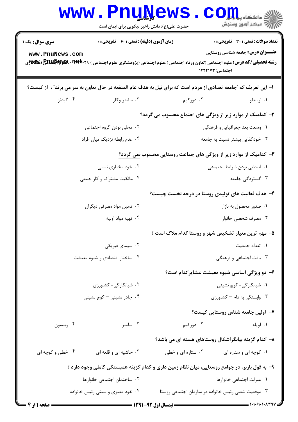|                                | <b>www.PnuNews</b><br>حضرت علی(ع): دانش راهبر نیکویی برای ایمان است                                                                           |                                                                          | رُ⁄ مرڪز آزمون وسنڊش                         |
|--------------------------------|-----------------------------------------------------------------------------------------------------------------------------------------------|--------------------------------------------------------------------------|----------------------------------------------|
| <b>سری سوال :</b> یک ۱         | زمان آزمون (دقیقه) : تستی : 60 ٪ تشریحی : 0                                                                                                   |                                                                          | <b>تعداد سوالات : تستی : 30 ٪ تشریحی : 0</b> |
| www.PnuNews.com                | <b>رشته تحصیلی/کد درس:</b> علوم اجتماعی (تعاون ورفاه اجتماعی )،علوم اجتماعی (پژوهشگری علوم اجتماعی ) <b>۳۹۴۰۲۹ MAM (WAM) (WA</b> W) بی استفاع | اجتماعی) ۱۲۲۲۱۷۳                                                         | <b>عنـــوان درس:</b> جامعه شناسی روستایی     |
|                                | ا– این تعریف که "جامعه تعدادی از مردم است که برای نیل به هدف عام المنفعه در حال تعاون به سر می برند" ، از کیست؟                               |                                                                          |                                              |
| ۰۴ گیدنز                       | ۰۳ سامنر وکلر                                                                                                                                 | ۰۲ دورکیم                                                                | ۰۱ ارسطو                                     |
|                                |                                                                                                                                               | ۲- کدامیک از موارد زیر از ویژگی های اجتماع محسوب می گردد؟                |                                              |
|                                | ۰۲ محلی بودن گروه اجتماعی                                                                                                                     | ۰۱ وسعت بعد جغرافیایی و فرهنگی                                           |                                              |
| ۰۴ عدم رابطه نزديک ميان افراد  |                                                                                                                                               | ۰۳ خودکفایی بیشتر نسبت به جامعه                                          |                                              |
|                                |                                                                                                                                               | ۳- کدامیک از موارد زیر از ویژگی های جماعت روستایی محسوب <u>نمی گردد؟</u> |                                              |
|                                | ۰۲ خود مختاری نسبی                                                                                                                            | ٠١ ابتدايي بودن شرايط اجتماعي                                            |                                              |
|                                | ۰۴ مالکیت مشترک و کار جمعی                                                                                                                    |                                                                          | ۰۳ گستردگی جامعه                             |
|                                |                                                                                                                                               | ۴- هدف فعالیت های تولیدی روستا در درجه نخست چیست؟                        |                                              |
|                                | ۰۲ تامین مواد مصرفی دیگران                                                                                                                    |                                                                          | ۰۱ صدور محصول به بازار                       |
|                                | ۰۴ تهيه مواد اوليه                                                                                                                            |                                                                          | ۰۳ مصرف شخصی خانوار                          |
|                                |                                                                                                                                               | ۵- مهم ترین معیار تشخیص شهر و روستا کدام ملاک است ؟                      |                                              |
|                                | ۰۲ سیمای فیزیکی                                                                                                                               |                                                                          | ٠١ تعداد جمعيت                               |
| ۰۴ ساختار اقتصادی و شیوه معیشت |                                                                                                                                               |                                                                          | ۰۳ بافت اجتماعی و فرهنگی                     |
|                                |                                                                                                                                               |                                                                          | ۶- دو ویژگی اساسی شیوه معیشت عشایرکدام است؟  |
| ٠٢ شبانكارگى- كشاورزى          |                                                                                                                                               | ۰۱ شبانکارگی- کوچ نشینی                                                  |                                              |
|                                | ۰۴ چادر نشینی – کوچ نشینی                                                                                                                     |                                                                          | ۰۳ وابستگی به دام – کشاورزی                  |
|                                |                                                                                                                                               |                                                                          | ۷- اولین جامعه شناس روستایی کیست؟            |
| ۰۴ ويلسون                      | ۰۳ سامنر                                                                                                                                      | ۰۲ دورکیم                                                                | ۰۱ لوپله                                     |
|                                |                                                                                                                                               | ۸– کدام گزینه بیانگراشکال روستاهای هسته ای می باشد؟                      |                                              |
| ۰۴ خطی و کوچه ای               | ۰۳ حاشیه ای و قلعه ای                                                                                                                         | ۰۲ ستاره ای و خطی                                                        | ۰۱ کوچه ای و ستاره ای                        |
|                                | ۹- به قول باربر، در جوامع روستایی، میان نظام زمین داری و کدام گزینه همبستگی کاملی وجود دارد ؟                                                 |                                                                          |                                              |
|                                | ٠٢ ساختمان اجتماعي خانوارها                                                                                                                   | ٠١. منزلت اجتماعي خانوارها                                               |                                              |
|                                | ۰۴ نفوذ معنوي و سنتي رئيس خانواده                                                                                                             | ۰۳ موقعیت شغلی رئیس خانواده در سازمان اجتماعی روستا                      |                                              |
| <b>6 صفحه 11; 4</b>            |                                                                                                                                               |                                                                          |                                              |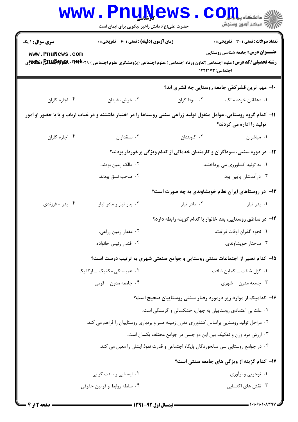|                        | <b>www.PnuNews</b><br>حضرت علی(ع): دانش راهبر نیکویی برای ایمان است                                                                    |                                                                                    | اللاء دانشڪاه پيام آ <b>ل گ</b><br>الل <sup>اء</sup> مرڪز آنههن وسنڊش |
|------------------------|----------------------------------------------------------------------------------------------------------------------------------------|------------------------------------------------------------------------------------|-----------------------------------------------------------------------|
| <b>سری سوال : ۱ یک</b> | <b>زمان آزمون (دقیقه) : تستی : 60 ٪ تشریحی : 0</b>                                                                                     |                                                                                    | <b>تعداد سوالات : تستی : 30 ٪ تشریحی : 0</b>                          |
| www.PnuNews.com        | <b>رشته تحصیلی/کد درس:</b> علوم اجتماعی (تعاون ورفاه اجتماعی )،علوم اجتماعی (پژوهشگری علوم اجتماعی ) <b>۳۹۴۰۲۹ 3 Enupppys (%%</b> و%%y | اجتماعی) ۱۲۲۲۱۷۳                                                                   | <b>عنـــوان درس:</b> جامعه شناسی روستایی                              |
|                        |                                                                                                                                        | ۱۰– مهم ترین قشرکمّی جامعه روستایی چه قشری اند؟                                    |                                                                       |
| ۰۴ اجاره کاران         | ۰۳ خوش نشینان                                                                                                                          | ۰۲ سودا گران                                                                       | ۰۱ دهقانان خرده مالک                                                  |
|                        | 1۱– کدام گروه روستایی، عوامل منقول تولید زراعی سنتی روستاها را در اختیار داشتند و در غیاب ارباب و یا با حضور او امور                   |                                                                                    | تولید را اداره می کردند؟                                              |
| ۰۴ اجاره کاران         | ۰۳ نسقداران                                                                                                                            | ۰۲ گاوبندان                                                                        | ٠١ مباشران                                                            |
|                        |                                                                                                                                        | ۱۲- در دوره سنتی، سوداگران و کارمندان خدماتی از کدام ویژگی برخوردار بودند؟         |                                                                       |
|                        | ۰۲ مالک زمین بودند.                                                                                                                    | ۰۱ به تولید کشاورزی می پرداختند.                                                   |                                                                       |
|                        | ۰۴ صاحب نسق بودند.                                                                                                                     |                                                                                    | ۰۳ درآمدشان پایین بود.                                                |
|                        |                                                                                                                                        | ۱۳- در روستاهای ایران نظام خویشاوندی به چه صورت است؟                               |                                                                       |
| ۰۴ پدر - فرزندي        | ۰۳ پدر تبار و مادر تبار                                                                                                                | ۰۲ مادر تبار                                                                       | ۰۱ پدر تبار                                                           |
|                        | ۱۴– در مناطق روستایی، بعد خانوار با کدام گزینه رابطه دارد؟                                                                             |                                                                                    |                                                                       |
|                        | ۰۲ مقدار زمین زراعی.                                                                                                                   | 1. نحوه گذران اوقات فراغت.                                                         |                                                                       |
|                        | ۰۴ اقتدار رئيس خانواده.                                                                                                                |                                                                                    | ۰۳ ساختار خويشاوندي.                                                  |
|                        | ۱۵– کدام تعبیر از اجتماعات سنتی روستایی و جوامع صنعتی شهری به ترتیب درست است؟                                                          |                                                                                    |                                                                       |
|                        | ۰۲ همبستگی مکانیک _ ارگانیک                                                                                                            |                                                                                    | ۰۱ گزل شافت _ گماين شافت                                              |
|                        | ۰۴ جامعه مدرن _ قومی                                                                                                                   |                                                                                    | ۰۳ جامعه مدرن _ شهري                                                  |
|                        |                                                                                                                                        | ۱۶– کدامیک از موارد زیر درمورد رفتار سنتی روستاییان صحیح است؟                      |                                                                       |
|                        |                                                                                                                                        | ۰۱ علت بی اعتمادی روستاییان به جهان، خشکسالی و گرسنگی است.                         |                                                                       |
|                        | ۰۲ مراحل تولید روستایی براساس کشاورزی مدرن زمینه صبر و بردباری روستاییان را فراهم می کند.                                              |                                                                                    |                                                                       |
|                        |                                                                                                                                        | ۰۳ ارزش مرد وزن و تفکیک بین این دو جنس در جوامع مختلف یکسان است.                   |                                                                       |
|                        |                                                                                                                                        | ۰۴ در جوامع روستایی سن سالخوردگان پایگاه اجتماعی و قدرت نفوذ ایشان را معین می کند. |                                                                       |
|                        |                                                                                                                                        |                                                                                    | <b>۱۷- کدام گزینه از ویژگی های جامعه سنتی است</b> ؟                   |
|                        | ۰۲ ایستایی و سنت گرایی                                                                                                                 |                                                                                    | ۰۱ نوجویی و نوآوری                                                    |
|                        | ۰۴ سلطه روابط و قوانین حقوقی                                                                                                           |                                                                                    | ۰۳ نقش های اکتسابی                                                    |

 $= 1 - 1 - 11 - 1 - 17$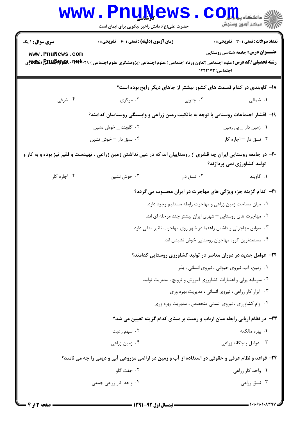|                        | <b>www.PnuNews</b><br>حضرت علی(ع): دانش راهبر نیکویی برای ایمان است                                                               |                                                                                     | دانشکاه پی <mark>ا بار</mark><br>رُ⁄ مرڪز آزمون وسنڊش |  |
|------------------------|-----------------------------------------------------------------------------------------------------------------------------------|-------------------------------------------------------------------------------------|-------------------------------------------------------|--|
| <b>سری سوال : ۱ یک</b> | <b>زمان آزمون (دقیقه) : تستی : 60 ٪ تشریحی : 0</b>                                                                                |                                                                                     | <b>تعداد سوالات : تستی : 30 ٪ تشریحی : 0</b>          |  |
| www.PnuNews.com        | <b>رشته تحصیلی/کد درس:</b> علوم اجتماعی (تعاون ورفاه اجتماعی )،علوم اجتماعی (پژوهشگری علوم اجتماعی ) <b>۳۹۴۰۲۹ 3 ENUP (WE</b> (WW | اجتماعی) ۱۲۲۲۱۷۳                                                                    | <b>عنـــوان درس:</b> جامعه شناسی روستایی              |  |
|                        |                                                                                                                                   | ۱۸– گاوبندی در کدام قسمت های کشور بیشتر از جاهای دیگر رایج بوده است؟                |                                                       |  |
| ۰۴ شرقی                | ۰۳ مرکزی                                                                                                                          | ۰۲ جنوبی                                                                            | ۰۱ شمالی                                              |  |
|                        |                                                                                                                                   | ۱۹– اقشار اجتماعات روستایی با توجه به مالکیت زمین زراعی و وابستگی روستاییان کدامند؟ |                                                       |  |
|                        | ۰۲ گاوبند _ خوش نشين                                                                                                              |                                                                                     | ۰۱ زمین دار _ بي زمين                                 |  |
|                        | ۰۴ نسق دار – خوش نشین                                                                                                             |                                                                                     | ۰۳ نسق دار - اجاره کار                                |  |
|                        | +۲- در جامعه روستایی ایران چه قشری از روستاییان اند که در عین نداشتن زمین زراعی ، تهیدست و فقیر نیز بوده و به کار و               |                                                                                     | تولید کشاورزی نمی پردازند؟                            |  |
| ۰۴ اجاره کار           | ۰۳ خوش نشين                                                                                                                       | ۰۲ نسق دار                                                                          | ۰۱ گاوبند                                             |  |
|                        | <b>۲۱</b> - کدام گزینه جزء ویژگی های مهاجرت در ایران محسوب می گردد؟                                                               |                                                                                     |                                                       |  |
|                        |                                                                                                                                   | ۰۱ میان مساحت زمین زراعی و مهاجرت رابطه مستقیم وجود دارد.                           |                                                       |  |
|                        |                                                                                                                                   | ۰۲ مهاجرت های روستایی <sup>—</sup> شهری ایران بیشتر چند مرحله ای اند.               |                                                       |  |
|                        |                                                                                                                                   | ۰۳ سوابق مهاجرتی و داشتن راهنما در شهر روی مهاجرت تاثیر منفی دارد.                  |                                                       |  |
|                        |                                                                                                                                   | ۰۴ مستعدترین گروه مهاجران روستایی خوش نشینان اند.                                   |                                                       |  |
|                        |                                                                                                                                   | ۲۲- عوامل جدید در دوران معاصر در تولید کشاورزی روستایی کدامند؟                      |                                                       |  |
|                        |                                                                                                                                   | ۰۱ زمین، آب، نیروی حیوانی ، نیروی انسانی ، بذر                                      |                                                       |  |
|                        |                                                                                                                                   | ۰۲ سرمایه پولی و اعتبارات کشاورزی آموزش و ترویج ، مدیریت تولید                      |                                                       |  |
|                        |                                                                                                                                   | ۰۳ ابزار کار زراعی ، نیروی انسانی ، مدیریت بهره وری                                 |                                                       |  |
|                        |                                                                                                                                   | ۰۴ وام کشاورزی ، نیروی انسانی متخصص ، مدیریت بهره وری                               |                                                       |  |
|                        |                                                                                                                                   | ۲۳– در نظام اربابی رابطه میان ارباب و رعیت بر مبنای کدام گزینه تعیین می شد؟         |                                                       |  |
|                        | ۰۲ سهم رعیت                                                                                                                       |                                                                                     | ۰۱. بهره مالکانه                                      |  |
|                        | ۰۴ زمین زراعی                                                                                                                     |                                                                                     | ۰۳ عوامل پنجگانه زراعی                                |  |
|                        | ۲۴- قواعد و نظام عرفی و حقوقی در استفاده از آب و زمین در اراضی مزروعی آبی و دیمی را چه می نامند؟                                  |                                                                                     |                                                       |  |
|                        | ۰۲ جفت گاو                                                                                                                        |                                                                                     | ۰۱ واحد کار زراعی                                     |  |
|                        | ۰۴ واحد کار زراعی جمعی                                                                                                            |                                                                                     | ۰۳ نسق زراعی                                          |  |